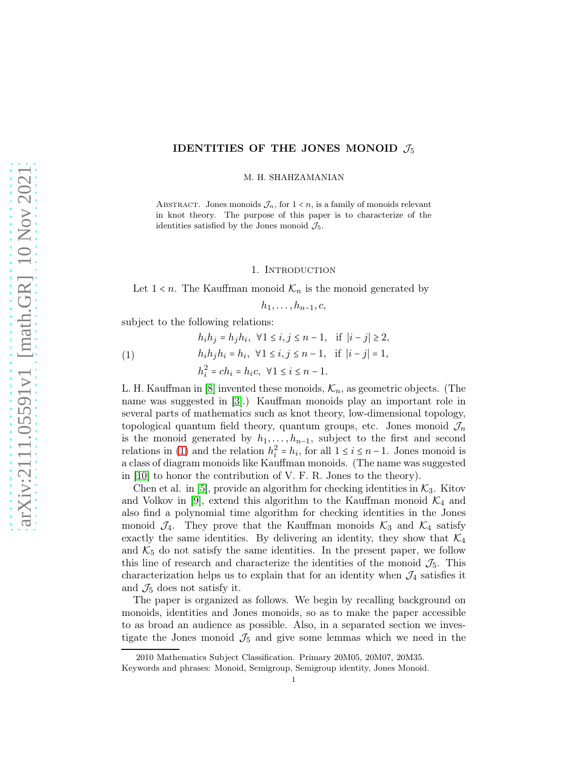# IDENTITIES OF THE JONES MONOID  $\mathcal{J}_5$

M. H. SHAHZAMANIAN

ABSTRACT. Jones monoids  $\mathcal{J}_n$ , for  $1 \leq n$ , is a family of monoids relevant in knot theory. The purpose of this paper is to characterize of the identities satisfied by the Jones monoid  $\mathcal{J}_5$ .

## 1. INTRODUCTION

Let  $1 < n$ . The Kauffman monoid  $\mathcal{K}_n$  is the monoid generated by

 $h_1, \ldots, h_{n-1}, c$ 

subject to the following relations:

<span id="page-0-0"></span>(1)  
\n
$$
h_i h_j = h_j h_i, \ \forall 1 \le i, j \le n-1, \ \text{if } |i-j| \ge 2,
$$
\n
$$
h_i h_j h_i = h_i, \ \forall 1 \le i, j \le n-1, \ \text{if } |i-j| = 1,
$$
\n
$$
h_i^2 = c h_i = h_i c, \ \forall 1 \le i \le n-1.
$$

L. H. Kauffman in [\[8\]](#page-15-0) invented these monoids,  $\mathcal{K}_n$ , as geometric objects. (The name was suggested in [\[3\]](#page-15-1).) Kauffman monoids play an important role in several parts of mathematics such as knot theory, low-dimensional topology, topological quantum field theory, quantum groups, etc. Jones monoid  $\mathcal{J}_n$ is the monoid generated by  $h_1, \ldots, h_{n-1}$ , subject to the first and second relations in [\(1\)](#page-0-0) and the relation  $h_i^2$  $i_i^2 = h_i$ , for all  $1 \le i \le n-1$ . Jones monoid is a class of diagram monoids like Kauffman monoids. (The name was suggested in [\[10\]](#page-15-2) to honor the contribution of V. F. R. Jones to the theory).

Chen et al. in [\[5\]](#page-15-3), provide an algorithm for checking identities in  $\mathcal{K}_3$ . Kitov and Volkov in [\[9\]](#page-15-4), extend this algorithm to the Kauffman monoid  $\mathcal{K}_4$  and also find a polynomial time algorithm for checking identities in the Jones monoid  $\mathcal{J}_4$ . They prove that the Kauffman monoids  $\mathcal{K}_3$  and  $\mathcal{K}_4$  satisfy exactly the same identities. By delivering an identity, they show that  $\mathcal{K}_4$ and  $K_5$  do not satisfy the same identities. In the present paper, we follow this line of research and characterize the identities of the monoid  $\mathcal{J}_5$ . This characterization helps us to explain that for an identity when  $\mathcal{J}_4$  satisfies it and  $\mathcal{J}_5$  does not satisfy it.

The paper is organized as follows. We begin by recalling background on monoids, identities and Jones monoids, so as to make the paper accessible to as broad an audience as possible. Also, in a separated section we investigate the Jones monoid  $\mathcal{J}_5$  and give some lemmas which we need in the

<sup>2010</sup> Mathematics Subject Classification. Primary 20M05, 20M07, 20M35.

Keywords and phrases: Monoid, Semigroup, Semigroup identity, Jones Monoid.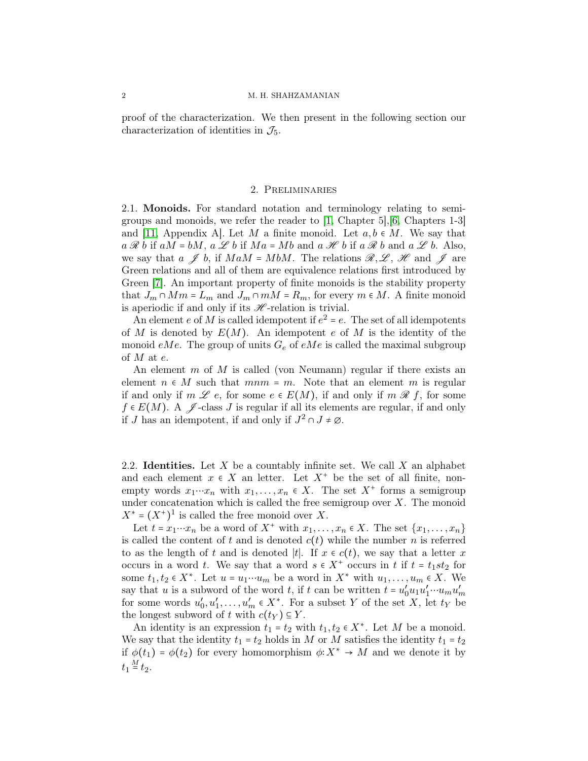proof of the characterization. We then present in the following section our characterization of identities in  $\mathcal{J}_5$ .

### 2. Preliminaries

2.1. Monoids. For standard notation and terminology relating to semigroups and monoids, we refer the reader to [\[1,](#page-15-5) Chapter 5],[\[6,](#page-15-6) Chapters 1-3] and [\[11,](#page-15-7) Appendix A]. Let M a finite monoid. Let  $a, b \in M$ . We say that  $a \mathcal{R} b$  if  $aM = bM$ ,  $a \mathcal{L} b$  if  $Ma = Mb$  and  $a \mathcal{H} b$  if  $a \mathcal{R} b$  and  $a \mathcal{L} b$ . Also, we say that  $a \nsubseteq b$ , if  $MaM = MbM$ . The relations  $\mathcal{R}, \mathcal{L}, \mathcal{H}$  and  $\mathcal{J}$  are Green relations and all of them are equivalence relations first introduced by Green [\[7\]](#page-15-8). An important property of finite monoids is the stability property that  $J_m \cap Mm = L_m$  and  $J_m \cap mM = R_m$ , for every  $m \in M$ . A finite monoid is aperiodic if and only if its  $\mathcal H$ -relation is trivial.

An element e of M is called idempotent if  $e^2 = e$ . The set of all idempotents of M is denoted by  $E(M)$ . An idempotent e of M is the identity of the monoid eMe. The group of units  $G_e$  of eMe is called the maximal subgroup of  $M$  at  $e$ .

An element m of M is called (von Neumann) regular if there exists an element  $n \in M$  such that  $mnm = m$ . Note that an element m is regular if and only if  $m \mathscr{L}$  e, for some  $e \in E(M)$ , if and only if  $m \mathscr{R}$  f, for some  $f \in E(M)$ . A  $\mathscr{J}$ -class J is regular if all its elements are regular, if and only if J has an idempotent, if and only if  $J^2 \cap J \neq \emptyset$ .

2.2. **Identities.** Let  $X$  be a countably infinite set. We call  $X$  an alphabet and each element  $x \in X$  an letter. Let  $X^+$  be the set of all finite, nonempty words  $x_1 \cdots x_n$  with  $x_1, \ldots, x_n \in X$ . The set  $X^+$  forms a semigroup under concatenation which is called the free semigroup over  $X$ . The monoid  $X^* = (X^*)^1$  is called the free monoid over X.

Let  $t = x_1 \cdots x_n$  be a word of  $X^+$  with  $x_1, \ldots, x_n \in X$ . The set  $\{x_1, \ldots, x_n\}$ is called the content of t and is denoted  $c(t)$  while the number n is referred to as the length of t and is denoted |t|. If  $x \in c(t)$ , we say that a letter x occurs in a word t. We say that a word  $s \in X^+$  occurs in t if  $t = t_1st_2$  for some  $t_1, t_2 \in X^*$ . Let  $u = u_1 \cdots u_m$  be a word in  $X^*$  with  $u_1, \ldots, u_m \in X$ . We say that u is a subword of the word t, if t can be written  $t = u'_0 u_1 u'_1 \cdots u_m u'_m$ for some words  $u'_0, u'_1, \ldots, u'_m \in X^*$ . For a subset Y of the set X, let  $t_Y$  be the longest subword of t with  $c(t_Y) \subseteq Y$ .

An identity is an expression  $t_1 = t_2$  with  $t_1, t_2 \in X^*$ . Let M be a monoid. We say that the identity  $t_1 = t_2$  holds in M or M satisfies the identity  $t_1 = t_2$ if  $\phi(t_1) = \phi(t_2)$  for every homomorphism  $\phi: X^* \to M$  and we denote it by  $t_1 \stackrel{M}{=} t_2.$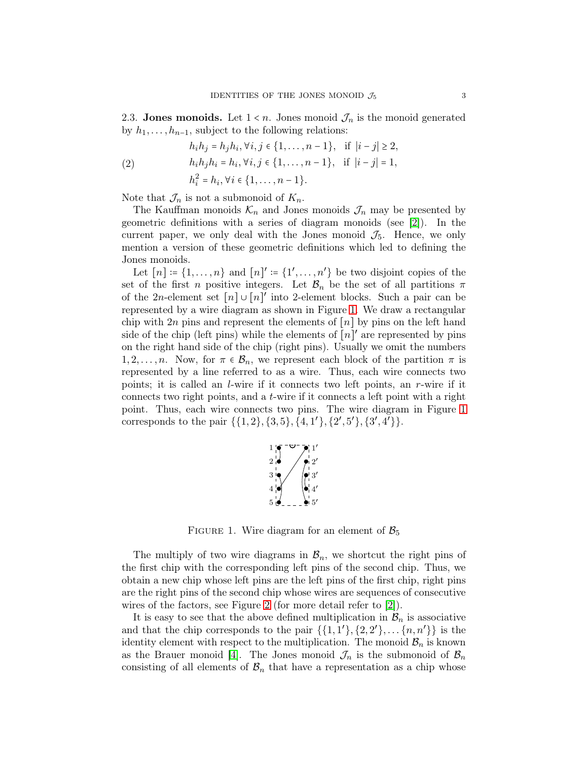2.3. Jones monoids. Let  $1 \leq n$ . Jones monoid  $\mathcal{J}_n$  is the monoid generated by  $h_1, \ldots, h_{n-1}$ , subject to the following relations:

<span id="page-2-1"></span>(2) 
$$
h_i h_j = h_j h_i, \forall i, j \in \{1, ..., n-1\}, \text{ if } |i - j| \ge 2,
$$

$$
h_i h_j h_i = h_i, \forall i, j \in \{1, ..., n-1\}, \text{ if } |i - j| = 1,
$$

$$
h_i^2 = h_i, \forall i \in \{1, ..., n-1\}.
$$

Note that  $\mathcal{J}_n$  is not a submonoid of  $K_n$ .

The Kauffman monoids  $\mathcal{K}_n$  and Jones monoids  $\mathcal{J}_n$  may be presented by geometric definitions with a series of diagram monoids (see [\[2\]](#page-15-9)). In the current paper, we only deal with the Jones monoid  $\mathcal{J}_5$ . Hence, we only mention a version of these geometric definitions which led to defining the Jones monoids.

Let  $[n] \coloneqq \{1, \ldots, n\}$  and  $[n]' \coloneqq \{1', \ldots, n'\}$  be two disjoint copies of the set of the first n positive integers. Let  $\mathcal{B}_n$  be the set of all partitions  $\pi$ of the 2n-element set  $[n] \cup [n]'$  into 2-element blocks. Such a pair can be represented by a wire diagram as shown in Figure [1.](#page-2-0) We draw a rectangular chip with 2n pins and represent the elements of  $[n]$  by pins on the left hand side of the chip (left pins) while the elements of  $[n]'$  are represented by pins on the right hand side of the chip (right pins). Usually we omit the numbers  $1, 2, \ldots, n$ . Now, for  $\pi \in \mathcal{B}_n$ , we represent each block of the partition  $\pi$  is represented by a line referred to as a wire. Thus, each wire connects two points; it is called an l-wire if it connects two left points, an r-wire if it connects two right points, and a t-wire if it connects a left point with a right point. Thus, each wire connects two pins. The wire diagram in Figure [1](#page-2-0) corresponds to the pair  $\{\{1,2\}, \{3,5\}, \{4,1'\}, \{2',5'\}, \{3',4'\}\}.$ 



<span id="page-2-0"></span>FIGURE 1. Wire diagram for an element of  $\mathcal{B}_5$ 

The multiply of two wire diagrams in  $\mathcal{B}_n$ , we shortcut the right pins of the first chip with the corresponding left pins of the second chip. Thus, we obtain a new chip whose left pins are the left pins of the first chip, right pins are the right pins of the second chip whose wires are sequences of consecutive wires of the factors, see Figure [2](#page-3-0) (for more detail refer to [\[2\]](#page-15-9)).

It is easy to see that the above defined multiplication in  $\mathcal{B}_n$  is associative and that the chip corresponds to the pair  $\{\{1,1'\},\{2,2'\},\ldots\{n,n'\}\}\$ is the identity element with respect to the multiplication. The monoid  $\mathcal{B}_n$  is known as the Brauer monoid [\[4\]](#page-15-10). The Jones monoid  $\mathcal{J}_n$  is the submonoid of  $\mathcal{B}_n$ consisting of all elements of  $\mathcal{B}_n$  that have a representation as a chip whose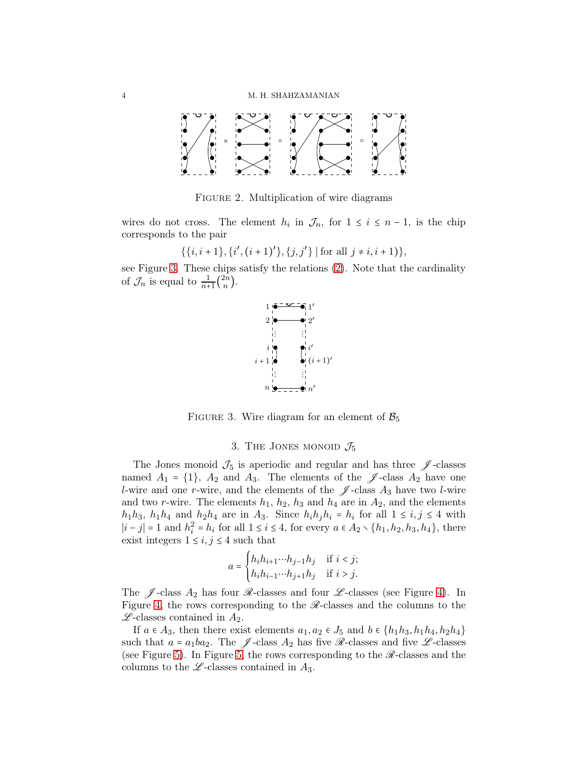

<span id="page-3-0"></span>FIGURE 2. Multiplication of wire diagrams

wires do not cross. The element  $h_i$  in  $\mathcal{J}_n$ , for  $1 \leq i \leq n-1$ , is the chip corresponds to the pair

$$
\{\{i,i+1\},\{i',(i+1)'\},\{j,j'\}\mid \text{for all }j\neq i,i+1\}\},\
$$

see Figure [3.](#page-3-1) These chips satisfy the relations [\(2\)](#page-2-1). Note that the cardinality of  $\mathcal{J}_n$  is equal to  $\frac{1}{n+1} \binom{2n}{n}$  $\binom{2n}{n}$ .



FIGURE 3. Wire diagram for an element of  $\mathcal{B}_5$ 

### <span id="page-3-1"></span>3. THE JONES MONOID  $\mathcal{J}_5$

The Jones monoid  $\mathcal{J}_5$  is aperiodic and regular and has three  $\mathscr{J}$ -classes named  $A_1 = \{1\}$ ,  $A_2$  and  $A_3$ . The elements of the  $\mathscr J$ -class  $A_2$  have one *l*-wire and one *r*-wire, and the elements of the  $\mathscr J$ -class  $A_3$  have two *l*-wire and two r-wire. The elements  $h_1$ ,  $h_2$ ,  $h_3$  and  $h_4$  are in  $A_2$ , and the elements  $h_1h_3$ ,  $h_1h_4$  and  $h_2h_4$  are in  $A_3$ . Since  $h_ih_jh_i = h_i$  for all  $1 \le i, j \le 4$  with  $|i-j|=1$  and  $h_i^2$  $i = h_i$  for all 1 ≤ *i* ≤ 4, for every  $a \in A_2 \setminus \{h_1, h_2, h_3, h_4\}$ , there exist integers  $1 \leq i, j \leq 4$  such that

$$
a = \begin{cases} h_i h_{i+1} \cdots h_{j-1} h_j & \text{if } i < j; \\ h_i h_{i-1} \cdots h_{j+1} h_j & \text{if } i > j. \end{cases}
$$

The  $\mathscr{J}$ -class  $A_2$  has four  $\mathscr{R}$ -classes and four  $\mathscr{L}$ -classes (see Figure [4\)](#page-4-0). In Figure [4,](#page-4-0) the rows corresponding to the  $\mathcal{R}-$  classes and the columns to the  $\mathscr{L}\text{-classes contained in }A_2$ .

If  $a \in A_3$ , then there exist elements  $a_1, a_2 \in J_5$  and  $b \in \{h_1h_3, h_1h_4, h_2h_4\}$ such that  $a = a_1ba_2$ . The  $\mathscr J$ -class  $A_2$  has five  $\mathscr R$ -classes and five  $\mathscr L$ -classes (see Figure [5\)](#page-5-0). In Figure [5,](#page-5-0) the rows corresponding to the  $\mathscr R$ -classes and the columns to the  $\mathscr{L}$ -classes contained in  $A_3$ .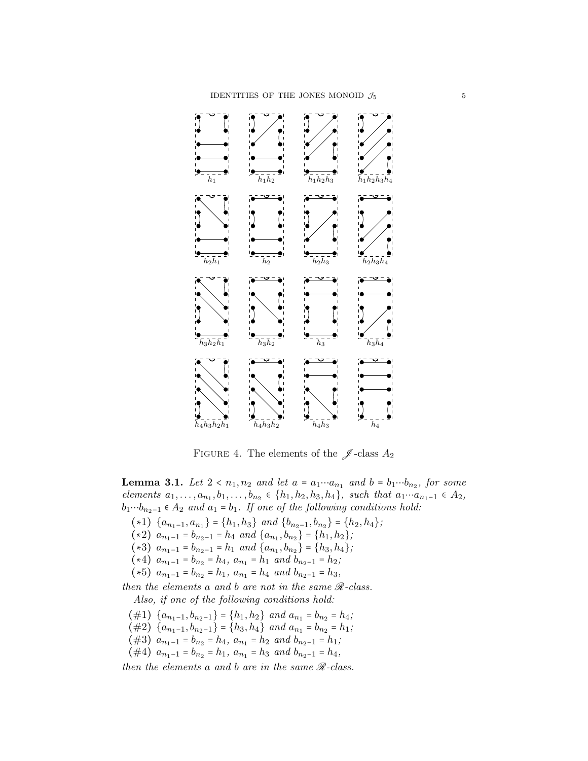

<span id="page-4-0"></span>FIGURE 4. The elements of the  $\mathscr J$ -class  $A_2$ 

<span id="page-4-1"></span>**Lemma 3.1.** Let  $2 < n_1, n_2$  and let  $a = a_1 \cdots a_{n_1}$  and  $b = b_1 \cdots b_{n_2}$ , for some *elements*  $a_1, \ldots, a_{n_1}, b_1, \ldots, b_{n_2}$  ∈ { $h_1, h_2, h_3, h_4$ }*, such that*  $a_1 \cdots a_{n_1-1}$  ∈  $A_2$ *,*  $b_1 \cdots b_{n_2-1} \in A_2$  *and*  $a_1 = b_1$ *. If one of the following conditions hold:* 

- (∗1)  ${a_{n_1-1}, a_{n_1}} = {h_1, h_3}$  *and*  ${b_{n_2-1}, b_{n_2}} = {h_2, h_4}$ ;
- $(*2)$   $a_{n_1-1} = b_{n_2-1} = h_4$  *and*  $\{a_{n_1}, b_{n_2}\} = \{h_1, h_2\};$
- (∗3)  $a_{n_1-1} = b_{n_2-1} = h_1$  *and*  $\{a_{n_1}, b_{n_2}\} = \{h_3, h_4\}$ ;
- (∗4)  $a_{n_1-1} = b_{n_2} = h_4$ ,  $a_{n_1} = h_1$  *and*  $b_{n_2-1} = h_2$ *;*
- $(*5)$   $a_{n_1-1} = b_{n_2} = h_1$ ,  $a_{n_1} = h_4$  *and*  $b_{n_2-1} = h_3$ ,

*then the elements* a and *b* are not in the same  $\mathcal{R}$ -class. *Also, if one of the following conditions hold:*

- $(\#1)$  {a<sub>n<sub>1</sub>-1</sub>, b<sub>n<sub>2</sub>-1</sub>} = {h<sub>1</sub>, h<sub>2</sub>} and a<sub>n<sub>1</sub></sub> = b<sub>n<sub>2</sub></sub> = h<sub>4</sub>;
- $(\#2)$  {a<sub>n<sub>1</sub>-1, b<sub>n<sub>2</sub>-1</sub>} = {h<sub>3</sub>, h<sub>4</sub>} and a<sub>n<sub>1</sub></sub> = b<sub>n<sub>2</sub></sub> = h<sub>1</sub>;</sub>
- (#3)  $a_{n_1-1} = b_{n_2} = h_4$ ,  $a_{n_1} = h_2$  *and*  $b_{n_2-1} = h_1$ ;
- $(\#4)$   $a_{n_1-1} = b_{n_2} = h_1$ ,  $a_{n_1} = h_3$  *and*  $b_{n_2-1} = h_4$ ,

*then the elements* a *and* b *are in the same* R*-class.*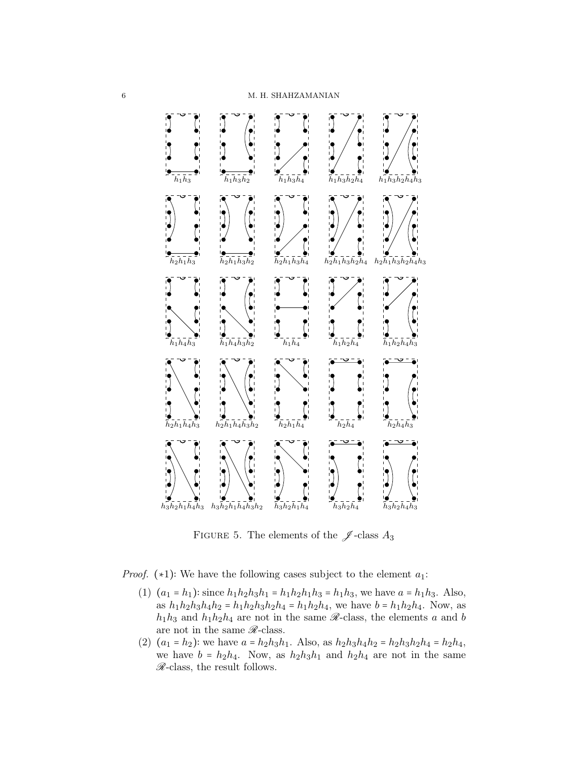

<span id="page-5-0"></span>FIGURE 5. The elements of the  $\mathscr J$ -class  $A_3$ 

*Proof.*  $(*1)$ : We have the following cases subject to the element  $a_1$ :

- (1)  $(a_1 = h_1)$ : since  $h_1 h_2 h_3 h_1 = h_1 h_2 h_1 h_3 = h_1 h_3$ , we have  $a = h_1 h_3$ . Also, as  $h_1h_2h_3h_4h_2 = h_1h_2h_3h_2h_4 = h_1h_2h_4$ , we have  $b = h_1h_2h_4$ . Now, as  $h_1h_3$  and  $h_1h_2h_4$  are not in the same  $\mathscr R$ -class, the elements a and b are not in the same  $\mathcal{R}$ -class.
- (2)  $(a_1 = h_2)$ : we have  $a = h_2h_3h_1$ . Also, as  $h_2h_3h_4h_2 = h_2h_3h_2h_4 = h_2h_4$ , we have  $b = h_2h_4$ . Now, as  $h_2h_3h_1$  and  $h_2h_4$  are not in the same  $\mathscr{R}\text{-class}$ , the result follows.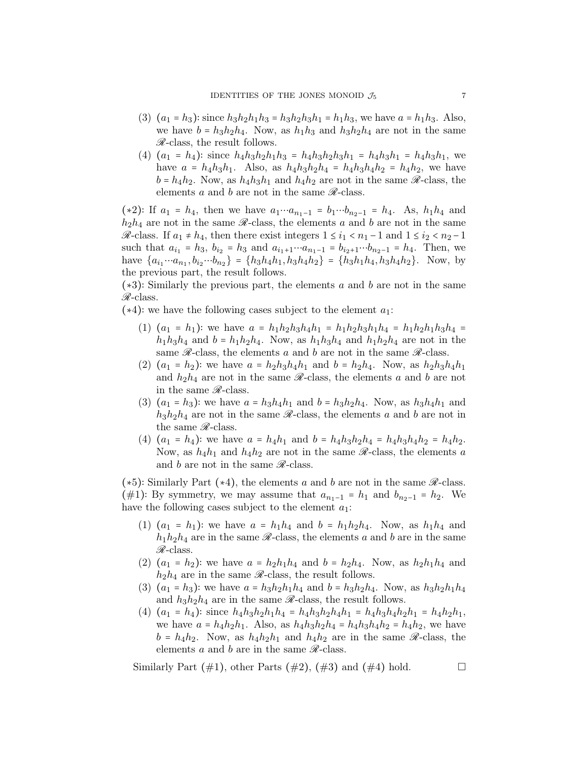- (3)  $(a_1 = h_3)$ : since  $h_3h_2h_1h_3 = h_3h_2h_3h_1 = h_1h_3$ , we have  $a = h_1h_3$ . Also, we have  $b = h_3h_2h_4$ . Now, as  $h_1h_3$  and  $h_3h_2h_4$  are not in the same  $\mathcal{R}$ -class, the result follows.
- (4)  $(a_1 = h_4)$ : since  $h_4h_3h_2h_1h_3 = h_4h_3h_2h_3h_1 = h_4h_3h_1 = h_4h_3h_1$ , we have  $a = h_4h_3h_1$ . Also, as  $h_4h_3h_2h_4 = h_4h_3h_4h_2 = h_4h_2$ , we have  $b = h_4 h_2$ . Now, as  $h_4 h_3 h_1$  and  $h_4 h_2$  are not in the same  $\mathscr{R}$ -class, the elements a and b are not in the same  $\mathscr{R}$ -class.

(\*2)∶ If  $a_1 = h_4$ , then we have  $a_1 \cdots a_{n_1-1} = b_1 \cdots b_{n_2-1} = h_4$ . As,  $h_1 h_4$  and  $h_2h_4$  are not in the same  $\mathscr{R}\text{-class}$ , the elements a and b are not in the same  $\mathscr{R}$ -class. If  $a_1 \neq h_4$ , then there exist integers  $1 \leq i_1 < n_1 - 1$  and  $1 \leq i_2 < n_2 - 1$ such that  $a_{i_1} = h_3$ ,  $b_{i_2} = h_3$  and  $a_{i_1+1} \cdots a_{n_1-1} = b_{i_2+1} \cdots b_{n_2-1} = h_4$ . Then, we have  ${a_{i_1} \cdots a_{n_1}, b_{i_2} \cdots b_{n_2}} = {h_3 h_4 h_1, h_3 h_4 h_2} = {h_3 h_1 h_4, h_3 h_4 h_2}.$  Now, by the previous part, the result follows.

(∗3)∶ Similarly the previous part, the elements a and b are not in the same  $\mathcal{R}$ -class.

 $(*4):$  we have the following cases subject to the element  $a_1$ :

- (1)  $(a_1 = h_1)$ : we have  $a = h_1h_2h_3h_4h_1 = h_1h_2h_3h_1h_4 = h_1h_2h_1h_3h_4 =$  $h_1h_3h_4$  and  $b = h_1h_2h_4$ . Now, as  $h_1h_3h_4$  and  $h_1h_2h_4$  are not in the same  $\mathcal{R}$ -class, the elements a and b are not in the same  $\mathcal{R}$ -class.
- (2)  $(a_1 = h_2)$ : we have  $a = h_2 h_3 h_4 h_1$  and  $b = h_2 h_4$ . Now, as  $h_2 h_3 h_4 h_1$ and  $h_2h_4$  are not in the same  $\mathscr{R}$ -class, the elements a and b are not in the same  $\mathscr{R}\text{-class}$ .
- (3)  $(a_1 = h_3)$ : we have  $a = h_3h_4h_1$  and  $b = h_3h_2h_4$ . Now, as  $h_3h_4h_1$  and  $h_3h_2h_4$  are not in the same  $\mathscr R$ -class, the elements a and b are not in the same  $\mathcal{R}$ -class.
- (4)  $(a_1 = h_4)$ : we have  $a = h_4h_1$  and  $b = h_4h_3h_2h_4 = h_4h_3h_4h_2 = h_4h_2$ . Now, as  $h_4h_1$  and  $h_4h_2$  are not in the same  $\mathscr{R}$ -class, the elements a and b are not in the same  $\mathscr{R}\text{-class.}$

(∗5): Similarly Part (∗4), the elements a and b are not in the same  $\mathcal{R}$ -class. (#1)∶ By symmetry, we may assume that  $a_{n_1-1} = h_1$  and  $b_{n_2-1} = h_2$ . We have the following cases subject to the element  $a_1$ :

- (1)  $(a_1 = h_1)$ : we have  $a = h_1 h_4$  and  $b = h_1 h_2 h_4$ . Now, as  $h_1 h_4$  and  $h_1h_2h_4$  are in the same  $\mathscr{R}$ -class, the elements a and b are in the same  $\mathscr{R}\text{-class}.$
- (2)  $(a_1 = h_2)$ : we have  $a = h_2h_1h_4$  and  $b = h_2h_4$ . Now, as  $h_2h_1h_4$  and  $h_2h_4$  are in the same  $\mathcal{R}$ -class, the result follows.
- (3)  $(a_1 = h_3)$ : we have  $a = h_3h_2h_1h_4$  and  $b = h_3h_2h_4$ . Now, as  $h_3h_2h_1h_4$ and  $h_3h_2h_4$  are in the same  $\mathcal{R}$ -class, the result follows.
- (4)  $(a_1 = h_4)$ : since  $h_4h_3h_2h_1h_4 = h_4h_3h_2h_4h_1 = h_4h_3h_4h_2h_1 = h_4h_2h_1$ , we have  $a = h_4 h_2 h_1$ . Also, as  $h_4 h_3 h_2 h_4 = h_4 h_3 h_4 h_2 = h_4 h_2$ , we have  $b = h_4 h_2$ . Now, as  $h_4 h_2 h_1$  and  $h_4 h_2$  are in the same  $\mathscr{R}$ -class, the elements a and b are in the same  $\mathcal{R}$ -class.

Similarly Part  $(\#1)$ , other Parts  $(\#2)$ ,  $(\#3)$  and  $(\#4)$  hold.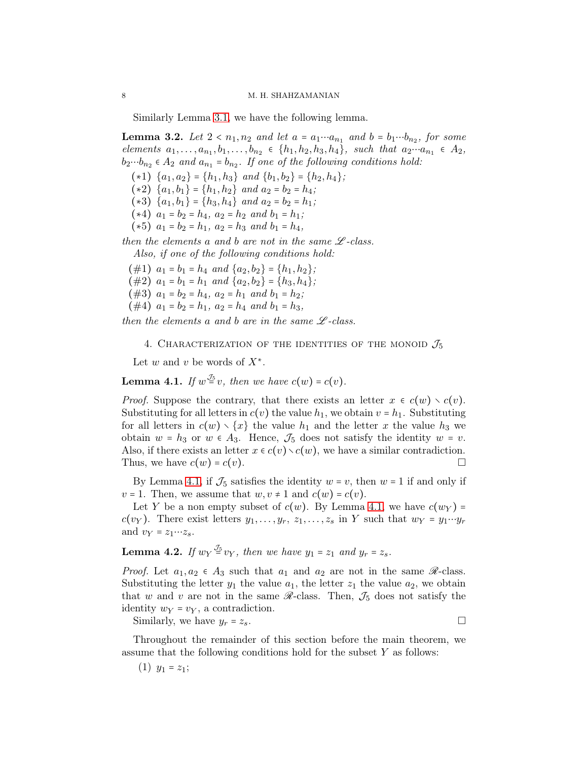Similarly Lemma [3.1,](#page-4-1) we have the following lemma.

<span id="page-7-1"></span>**Lemma 3.2.** Let  $2 < n_1, n_2$  and let  $a = a_1 \cdots a_{n_1}$  and  $b = b_1 \cdots b_{n_2}$ , for some *elements*  $a_1, \ldots, a_{n_1}, b_1, \ldots, b_{n_2} \in \{h_1, h_2, h_3, h_4\}$ *, such that*  $a_2 \cdots a_{n_1} \in A_2$ *,*  $b_2 \cdots b_{n_2} \in A_2$  and  $a_{n_1} = b_{n_2}$ . If one of the following conditions hold:

 $(*1) \ \{a_1, a_2\} = \{h_1, h_3\} \ and \ \{b_1, b_2\} = \{h_2, h_4\};$ 

- $(*2) \ \{a_1, b_1\} = \{h_1, h_2\} \ and \ a_2 = b_2 = h_4;$
- $(*3)$   $\{a_1, b_1\} = \{h_3, h_4\}$  *and*  $a_2 = b_2 = h_1;$
- $(*4)$   $a_1 = b_2 = h_4$ ,  $a_2 = h_2$  *and*  $b_1 = h_1$ ;
- $(*5)$   $a_1 = b_2 = h_1$ ,  $a_2 = h_3$  *and*  $b_1 = h_4$ ,

*then the elements* a and b are not in the same  $\mathscr{L}$ -class.

*Also, if one of the following conditions hold:*

(#1)  $a_1 = b_1 = h_4$  *and*  $\{a_2, b_2\} = \{h_1, h_2\}$ ;

(#2)  $a_1 = b_1 = h_1$  *and*  $\{a_2, b_2\} = \{h_3, h_4\}$ ;

- (#3)  $a_1 = b_2 = h_4$ ,  $a_2 = h_1$  and  $b_1 = h_2$ ;
- $(\#4)$   $a_1 = b_2 = h_1$ ,  $a_2 = h_4$  and  $b_1 = h_3$ ,

*then the elements* a and *b* are in the same  $\mathcal{L}$ -class.

4. CHARACTERIZATION OF THE IDENTITIES OF THE MONOID  $\mathcal{J}_5$ 

Let  $w$  and  $v$  be words of  $X^*$ .

<span id="page-7-0"></span>**Lemma 4.1.** *If*  $w^{\frac{\mathcal{J}_5}{\mathcal{S}}}v$ , then we have  $c(w) = c(v)$ .

*Proof.* Suppose the contrary, that there exists an letter  $x \in c(w) \setminus c(v)$ . Substituting for all letters in  $c(v)$  the value  $h_1$ , we obtain  $v = h_1$ . Substituting for all letters in  $c(w) \setminus \{x\}$  the value  $h_1$  and the letter x the value  $h_3$  we obtain  $w = h_3$  or  $w \in A_3$ . Hence,  $\mathcal{J}_5$  does not satisfy the identity  $w = v$ . Also, if there exists an letter  $x \in c(v) \setminus c(w)$ , we have a similar contradiction. Thus, we have  $c(w) = c(v)$ .

By Lemma [4.1,](#page-7-0) if  $\mathcal{J}_5$  satisfies the identity  $w = v$ , then  $w = 1$  if and only if  $v = 1$ . Then, we assume that  $w, v \neq 1$  and  $c(w) = c(v)$ .

Let Y be a non empty subset of  $c(w)$ . By Lemma [4.1,](#page-7-0) we have  $c(w_Y)$  =  $c(v_Y)$ . There exist letters  $y_1, \ldots, y_r, z_1, \ldots, z_s$  in Y such that  $w_Y = y_1 \cdots y_r$ and  $v_Y = z_1 \cdots z_s$ .

<span id="page-7-2"></span>**Lemma 4.2.** If  $w_Y \stackrel{\mathcal{J}_5}{=} v_Y$ , then we have  $y_1 = z_1$  and  $y_r = z_s$ .

*Proof.* Let  $a_1, a_2 \in A_3$  such that  $a_1$  and  $a_2$  are not in the same  $\mathscr{R}$ -class. Substituting the letter  $y_1$  the value  $a_1$ , the letter  $z_1$  the value  $a_2$ , we obtain that w and v are not in the same  $\mathcal{R}-class$ . Then,  $\mathcal{J}_5$  does not satisfy the identity  $w_Y = v_Y$ , a contradiction.

Similarly, we have  $y_r = z_s$ .

Throughout the remainder of this section before the main theorem, we assume that the following conditions hold for the subset  $Y$  as follows:

 $(1)$   $y_1 = z_1;$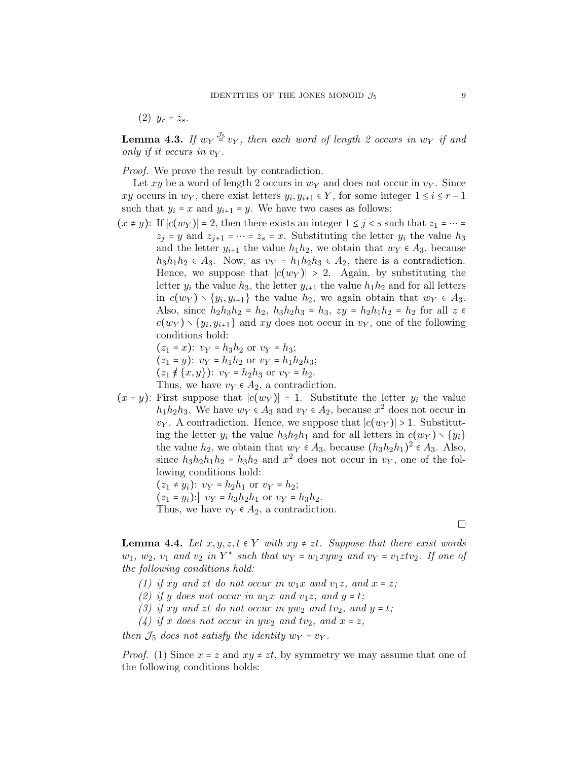(2)  $y_r = z_s$ .

<span id="page-8-0"></span>**Lemma 4.3.** If  $w_Y \stackrel{\mathcal{J}_5}{=} v_Y$ , then each word of length 2 occurs in  $w_Y$  if and *only if it occurs in* v<sup>Y</sup> *.*

*Proof.* We prove the result by contradiction.

Let xy be a word of length 2 occurs in  $w<sub>Y</sub>$  and does not occur in  $v<sub>Y</sub>$ . Since xy occurs in  $w_Y$ , there exist letters  $y_i, y_{i+1} \in Y$ , for some integer  $1 \le i \le r - 1$ such that  $y_i = x$  and  $y_{i+1} = y$ . We have two cases as follows:

 $(x \neq y)$ : If  $|c(w_Y)| = 2$ , then there exists an integer  $1 \leq j \leq s$  such that  $z_1 = \cdots =$  $z_j = y$  and  $z_{j+1} = \cdots = z_s = x$ . Substituting the letter  $y_i$  the value  $h_3$ and the letter  $y_{i+1}$  the value  $h_1h_2$ , we obtain that  $w_Y \in A_3$ , because  $h_3h_1h_2 \in A_3$ . Now, as  $v_Y = h_1h_2h_3 \in A_2$ , there is a contradiction. Hence, we suppose that  $|c(w_Y)| > 2$ . Again, by substituting the letter  $y_i$  the value  $h_3$ , the letter  $y_{i+1}$  the value  $h_1h_2$  and for all letters in  $c(w_Y) \setminus \{y_i, y_{i+1}\}\$ the value  $h_2$ , we again obtain that  $w_Y \in A_3$ . Also, since  $h_2h_3h_2 = h_2$ ,  $h_3h_2h_3 = h_3$ ,  $zy = h_2h_1h_2 = h_2$  for all  $z \in$  $c(w_Y) \setminus \{y_i, y_{i+1}\}\$ and xy does not occur in  $v_Y$ , one of the following conditions hold:

$$
(z_1 = x)
$$
:  $v_Y = h_3 h_2$  or  $v_Y = h_3$ ;  
\n $(z_1 = y)$ :  $v_Y = h_1 h_2$  or  $v_Y = h_1 h_2 h_3$ ;

$$
(z_1 \notin \{x, y\})
$$
:  $v_Y = h_2 h_3$  or  $v_Y = h_2$ .

Thus, we have  $v_Y \in A_2$ , a contradiction.

 $(x = y)$ : First suppose that  $|c(w_Y)| = 1$ . Substitute the letter  $y_i$  the value  $h_1h_2h_3$ . We have  $w_Y \in A_3$  and  $v_Y \in A_2$ , because  $x^2$  does not occur in  $v_Y$ . A contradiction. Hence, we suppose that  $|c(w_Y)| > 1$ . Substituting the letter  $y_i$  the value  $h_3h_2h_1$  and for all letters in  $c(w_Y) \setminus \{y_i\}$ the value  $h_2$ , we obtain that  $w_Y \in A_3$ , because  $(h_3h_2h_1)^2 \in A_3$ . Also, since  $h_3h_2h_1h_2 = h_3h_2$  and  $x^2$  does not occur in  $v_Y$ , one of the following conditions hold:

> $(z_1 \neq y_i): v_Y = h_2 h_1$  or  $v_Y = h_2$ ;  $(z_1 = y_i):$   $vy = h_3h_2h_1$  or  $vy = h_3h_2$ .

Thus, we have  $v_Y \in A_2$ , a contradiction.

 $\Box$ 

<span id="page-8-1"></span>**Lemma 4.4.** *Let*  $x, y, z, t \in Y$  *with*  $xy \neq zt$ *. Suppose that there exist words*  $w_1, w_2, v_1$  and  $v_2$  in  $Y^*$  such that  $w_Y = w_1xyw_2$  and  $v_Y = v_1ztv_2$ . If one of *the following conditions hold:*

- (1) if xy and zt do not occur in  $w_1x$  and  $v_1z$ , and  $x = z$ ;
- (2) if y does not occur in  $w_1x$  and  $v_1z$ , and  $y = t$ ;
- (3) if xy and zt do not occur in  $yw_2$  and  $tv_2$ , and  $y = t$ ;
- (4) if x does not occur in yw<sub>2</sub> and tv<sub>2</sub>, and  $x = z$ ,

*then*  $\mathcal{J}_5$  *does not satisfy the identity*  $w_Y = v_Y$ *.* 

*Proof.* (1) Since  $x = z$  and  $xy \neq zt$ , by symmetry we may assume that one of the following conditions holds: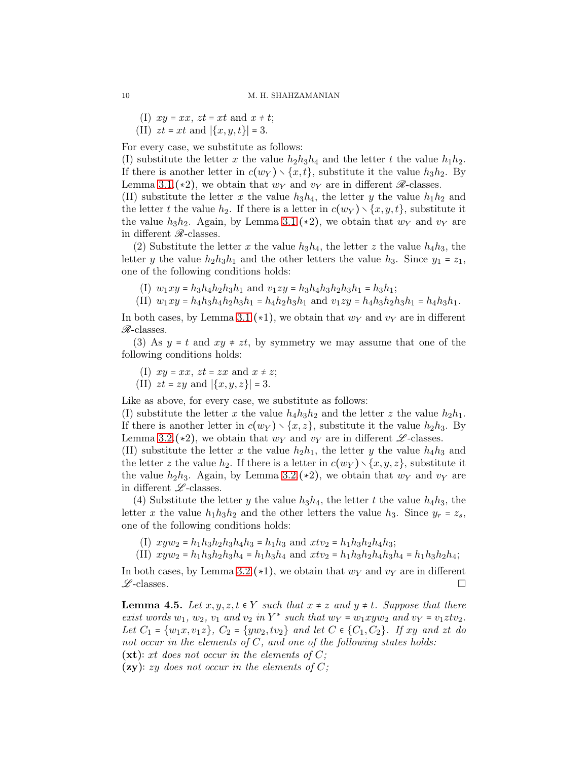- (I)  $xy = xx$ ,  $zt = xt$  and  $x \neq t$ ;
- (II)  $zt = xt$  and  $|\{x, y, t\}| = 3$ .

For every case, we substitute as follows:

(I) substitute the letter x the value  $h_2h_3h_4$  and the letter t the value  $h_1h_2$ . If there is another letter in  $c(w_Y) \setminus \{x, t\}$ , substitute it the value  $h_3h_2$ . By Lemma [3.1.](#page-4-1)(\*2), we obtain that  $w_Y$  and  $v_Y$  are in different  $\mathscr R$ -classes.

(II) substitute the letter x the value  $h_3h_4$ , the letter y the value  $h_1h_2$  and the letter t the value  $h_2$ . If there is a letter in  $c(w_Y) \setminus \{x, y, t\}$ , substitute it the value  $h_3h_2$ . Again, by Lemma [3.1.](#page-4-1)(\*2), we obtain that  $w_Y$  and  $v_Y$  are in different  $\mathcal{R}$ -classes.

(2) Substitute the letter x the value  $h_3h_4$ , the letter z the value  $h_4h_3$ , the letter y the value  $h_2h_3h_1$  and the other letters the value  $h_3$ . Since  $y_1 = z_1$ , one of the following conditions holds:

(I)  $w_1xy = h_3h_4h_2h_3h_1$  and  $v_1zy = h_3h_4h_3h_2h_3h_1 = h_3h_1$ ;

(II)  $w_1xy = h_4h_3h_4h_2h_3h_1 = h_4h_2h_3h_1$  and  $v_1zy = h_4h_3h_2h_3h_1 = h_4h_3h_1$ .

In both cases, by Lemma [3.1.](#page-4-1)(∗1), we obtain that  $w_Y$  and  $v_Y$  are in different  $\mathcal{R}$ -classes.

(3) As  $y = t$  and  $xy \neq zt$ , by symmetry we may assume that one of the following conditions holds:

(I)  $xy = xx$ ,  $zt = zx$  and  $x \neq z$ ;

(II)  $zt = zy$  and  $|\{x, y, z\}| = 3$ .

Like as above, for every case, we substitute as follows:

(I) substitute the letter x the value  $h_4h_3h_2$  and the letter z the value  $h_2h_1$ . If there is another letter in  $c(w_Y) \setminus \{x, z\}$ , substitute it the value  $h_2h_3$ . By Lemma [3.2.](#page-7-1)(\*2), we obtain that  $w_Y$  and  $v_Y$  are in different  $\mathscr{L}$ -classes.

(II) substitute the letter x the value  $h_2h_1$ , the letter y the value  $h_4h_3$  and the letter z the value  $h_2$ . If there is a letter in  $c(w_Y) \setminus \{x, y, z\}$ , substitute it the value  $h_2h_3$ . Again, by Lemma [3.2.](#page-7-1)(\*2), we obtain that  $w_Y$  and  $v_Y$  are in different  $\mathscr{L}\text{-classes}.$ 

(4) Substitute the letter y the value  $h_3h_4$ , the letter t the value  $h_4h_3$ , the letter x the value  $h_1h_3h_2$  and the other letters the value  $h_3$ . Since  $y_r = z_s$ , one of the following conditions holds:

- (I)  $xyw_2 = h_1h_3h_2h_3h_4h_3 = h_1h_3$  and  $xtv_2 = h_1h_3h_2h_4h_3$ ;
- (II)  $xyw_2 = h_1h_3h_2h_3h_4 = h_1h_3h_4$  and  $xtv_2 = h_1h_3h_2h_4h_3h_4 = h_1h_3h_2h_4$ ;

In both cases, by Lemma [3.2.](#page-7-1)(∗1), we obtain that  $w_Y$  and  $v_Y$  are in different  $\mathscr{L}\text{-classes.}$ 

<span id="page-9-0"></span>**Lemma 4.5.** *Let*  $x, y, z, t \in Y$  *such that*  $x \neq z$  *and*  $y \neq t$ *. Suppose that there exist words*  $w_1$ ,  $w_2$ ,  $v_1$  *and*  $v_2$  *in*  $Y^*$  *such that*  $w_Y = w_1xyw_2$  *and*  $v_Y = v_1ztv_2$ *. Let*  $C_1 = \{w_1x, v_1z\}, C_2 = \{yw_2, tv_2\}$  *and let*  $C \in \{C_1, C_2\}$ *. If xy and zt do not occur in the elements of* C*, and one of the following states holds:* (xt)∶ xt *does not occur in the elements of* C*;*

(zy)∶ zy *does not occur in the elements of* C*;*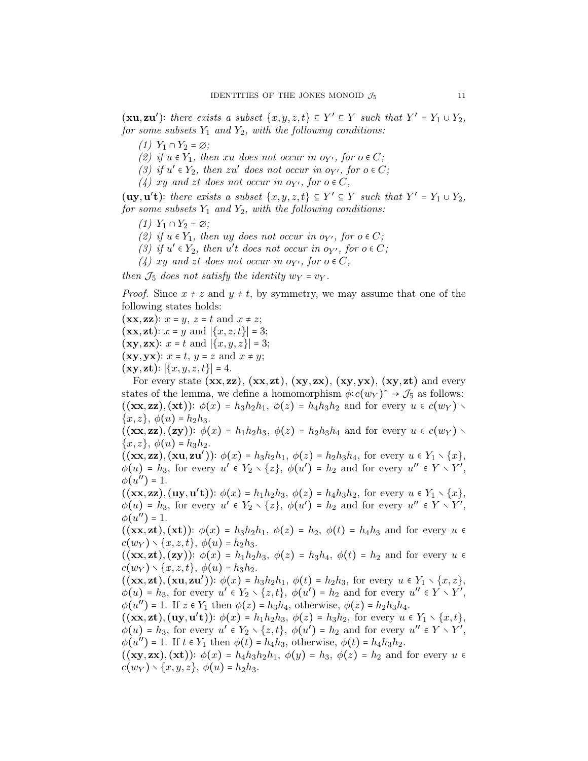$(\mathbf{xu}, \mathbf{zu}')$ : there exists a subset  $\{x, y, z, t\} \subseteq Y' \subseteq Y$  such that  $Y' = Y_1 \cup Y_2$ , *for some subsets*  $Y_1$  *and*  $Y_2$ *, with the following conditions:* 

- *(1)*  $Y_1 \cap Y_2 = ∅$ ;
- *(2)* if  $u \in Y_1$ , then xu does not occur in  $o_{Y'}$ , for  $o \in C$ ;
- (3) if  $u' \in Y_2$ , then zu' does not occur in  $o_{Y'}$ , for  $o \in C$ ;
- $(4)$  xy and zt does not occur in o<sub>Y'</sub>, for  $o \in C$ ,

(uy, u't): there exists a subset  $\{x, y, z, t\}$  ⊆ Y' ⊆ Y such that  $Y' = Y_1 \cup Y_2$ , *for some subsets*  $Y_1$  *and*  $Y_2$ *, with the following conditions:* 

- *(1)*  $Y_1 \cap Y_2 = ∅$ ;
- *(2)* if  $u \in Y_1$ , then uy does not occur in  $o_{Y'}$ , for  $o \in C$ ;
- (3) if  $u' \in Y_2$ , then  $u't$  does not occur in  $o_{Y'}$ , for  $o \in C$ ;
- $(4)$  xy and zt does not occur in  $o_{Y'}$ , for  $o \in C$ ,

*then*  $\mathcal{J}_5$  *does not satisfy the identity*  $w_Y = v_Y$ *.* 

*Proof.* Since  $x \neq z$  and  $y \neq t$ , by symmetry, we may assume that one of the following states holds:

 $(\mathbf{xx}, \mathbf{zz})$ :  $x = y$ ,  $z = t$  and  $x \neq z$ ;  $(\mathbf{xx}, \mathbf{zt})$ :  $x = y$  and  $|\{x, z, t\}| = 3$ ;

- $(\mathbf{xy}, \mathbf{zx})$ :  $x = t$  and  $|\{x, y, z\}| = 3$ ;
- $(\mathbf{xy}, \mathbf{yx})$ :  $x = t$ ,  $y = z$  and  $x \neq y$ ;
- $(\mathbf{xy}, \mathbf{zt})$ :  $|\{x, y, z, t\}| = 4$ .

For every state  $(xx, zz)$ ,  $(xx, zt)$ ,  $(xy, zx)$ ,  $(xy, yx)$ ,  $(xy, zt)$  and every states of the lemma, we define a homomorphism  $\phi: c(w_Y)^* \to \mathcal{J}_5$  as follows:  $((\mathbf{xx}, \mathbf{zz}), (\mathbf{xt}))$ :  $\phi(x) = h_3h_2h_1$ ,  $\phi(z) = h_4h_3h_2$  and for every  $u \in c(w_Y)$  ${x, z}$ ,  $\phi(u) = h_2 h_3$ .

 $((\mathbf{xx}, \mathbf{zz}), (\mathbf{zy}))$ :  $\phi(x) = h_1h_2h_3$ ,  $\phi(z) = h_2h_3h_4$  and for every  $u \in c(w_Y)$  $\{x, z\}, \phi(u) = h_3 h_2.$ 

 $((xx, zz), (x, zu'))$ :  $\phi(x) = h_3h_2h_1$ ,  $\phi(z) = h_2h_3h_4$ , for every  $u \in Y_1 \setminus \{x\}$ ,  $\phi(u) = h_3$ , for every  $u' \in Y_2 \setminus \{z\}$ ,  $\phi(u') = h_2$  and for every  $u'' \in Y \setminus Y'$ ,  $\phi(u'') = 1.$ 

 $((xx, zz), (uy, u't))$ :  $\phi(x) = h_1h_2h_3$ ,  $\phi(z) = h_4h_3h_2$ , for every  $u \in Y_1 \setminus \{x\}$ ,  $\phi(u) = h_3$ , for every  $u' \in Y_2 \setminus \{z\}$ ,  $\phi(u') = h_2$  and for every  $u'' \in Y \setminus Y'$ ,  $\phi(u'') = 1.$ 

 $((\mathbf{xx}, \mathbf{zt}), (\mathbf{xt}))$ :  $\phi(x) = h_3h_2h_1$ ,  $\phi(z) = h_2$ ,  $\phi(t) = h_4h_3$  and for every  $u \in$  $c(w_Y) \setminus \{x, z, t\}, \phi(u) = h_2 h_3.$ 

 $((\mathbf{xx}, \mathbf{zt}), (\mathbf{zy}))$ :  $\phi(x) = h_1h_2h_3$ ,  $\phi(z) = h_3h_4$ ,  $\phi(t) = h_2$  and for every  $u \in$  $c(w_Y) \setminus \{x, z, t\}, \phi(u) = h_3 h_2.$ 

 $((\mathbf{xx}, \mathbf{zt}), (\mathbf{xu}, \mathbf{zu}'))$ :  $\phi(x) = h_3h_2h_1$ ,  $\phi(t) = h_2h_3$ , for every  $u \in Y_1 \setminus \{x, z\}$ ,  $\phi(u) = h_3$ , for every  $u' \in Y_2 \setminus \{z, t\}, \ \phi(u') = h_2$  and for every  $u'' \in Y \setminus Y'$ ,  $\phi(u'') = 1$ . If  $z \in Y_1$  then  $\phi(z) = h_3 h_4$ , otherwise,  $\phi(z) = h_2 h_3 h_4$ .

 $((\mathbf{xx}, \mathbf{zt}), (\mathbf{uy}, \mathbf{u't})): \phi(x) = h_1h_2h_3, \ \phi(z) = h_3h_2, \text{ for every } u \in Y_1 \setminus \{x, t\},\$  $\phi(u) = h_3$ , for every  $u' \in Y_2 \setminus \{z, t\}$ ,  $\phi(u') = h_2$  and for every  $u'' \in Y \setminus Y'$ ,  $\phi(u'') = 1$ . If  $t \in Y_1$  then  $\phi(t) = h_4h_3$ , otherwise,  $\phi(t) = h_4h_3h_2$ .

 $((xy, zx), (xt))$ :  $\phi(x) = h_4h_3h_2h_1$ ,  $\phi(y) = h_3$ ,  $\phi(z) = h_2$  and for every  $u \in$  $c(w_Y) \setminus \{x, y, z\}, \phi(u) = h_2 h_3.$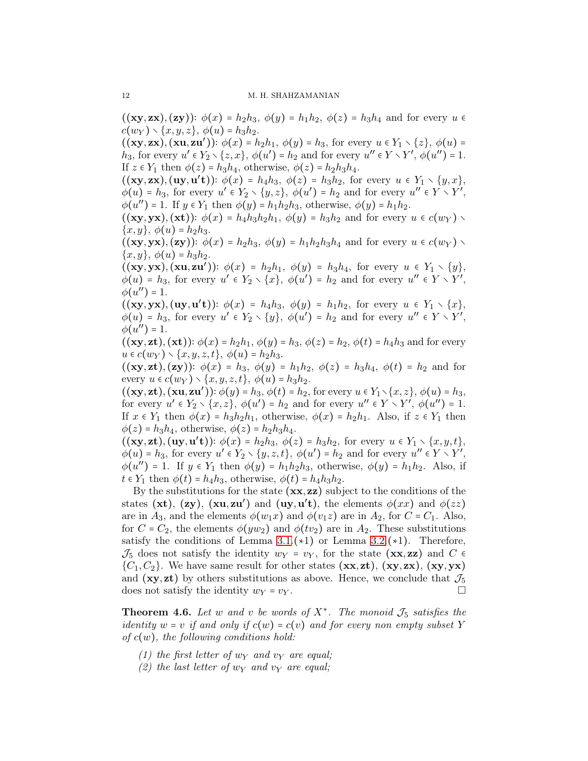$((xy, zx), (zy))$ :  $\phi(x) = h_2h_3$ ,  $\phi(y) = h_1h_2$ ,  $\phi(z) = h_3h_4$  and for every  $u \in$  $c(w_Y) \setminus \{x, y, z\}, \phi(u) = h_3 h_2.$ 

 $((xy, zx), (xu, zu'))$ :  $\phi(x) = h_2h_1, \ \phi(y) = h_3$ , for every  $u \in Y_1 \setminus \{z\}, \ \phi(u) =$  $h_3$ , for every  $u' \in Y_2 \setminus \{z, x\}$ ,  $\phi(u') = h_2$  and for every  $u'' \in Y \setminus Y'$ ,  $\phi(u'') = 1$ . If  $z \in Y_1$  then  $\phi(z) = h_3h_4$ , otherwise,  $\phi(z) = h_2h_3h_4$ .

 $((xy, zx), (uy, u't))$ :  $\phi(x) = h_4h_3$ ,  $\phi(z) = h_3h_2$ , for every  $u \in Y_1 \setminus \{y, x\}$ ,  $\phi(u) = h_3$ , for every  $u' \in Y_2 \setminus \{y, z\}$ ,  $\phi(u') = h_2$  and for every  $u'' \in Y \setminus Y'$ ,  $\phi(u'') = 1$ . If  $y \in Y_1$  then  $\phi(y) = h_1 h_2 h_3$ , otherwise,  $\phi(y) = h_1 h_2$ .

 $((\mathbf{xy},\mathbf{yx}),(\mathbf{xt}))\colon \phi(x) = h_4h_3h_2h_1, \ \phi(y) = h_3h_2$  and for every  $u \in c(w_Y)$  $\{x, y\}, \phi(u) = h_2 h_3.$ 

 $((xy, yx), (zy))$ :  $\phi(x) = h_2h_3$ ,  $\phi(y) = h_1h_2h_3h_4$  and for every  $u \in c(w_Y)$  ${x, y}$ ,  $\phi(u) = h_3 h_2$ .

 $((xy, yx), (xu, zu')): \phi(x) = h_2h_1, \phi(y) = h_3h_4$ , for every  $u \in Y_1 \setminus \{y\},$  $\phi(u) = h_3$ , for every  $u' \in Y_2 \setminus \{x\}$ ,  $\phi(u') = h_2$  and for every  $u'' \in Y \setminus Y'$ ,  $\phi(u'') = 1.$ 

 $((xy, yx), (uy, u't))$ :  $\phi(x) = h_4h_3$ ,  $\phi(y) = h_1h_2$ , for every  $u \in Y_1 \setminus \{x\}$ ,  $\phi(u) = h_3$ , for every  $u' \in Y_2 \setminus \{y\}$ ,  $\phi(u') = h_2$  and for every  $u'' \in Y \setminus Y'$ ,  $\phi(u'')=1.$ 

 $((xy, zt), (xt))$ :  $\phi(x) = h_2h_1, \phi(y) = h_3, \phi(z) = h_2, \phi(t) = h_4h_3$  and for every  $u \in c(w_Y) \setminus \{x, y, z, t\}, \phi(u) = h_2 h_3.$ 

 $((xy, zt), (zy))$ :  $\phi(x) = h_3$ ,  $\phi(y) = h_1h_2$ ,  $\phi(z) = h_3h_4$ ,  $\phi(t) = h_2$  and for every  $u \in c(w_Y) \setminus \{x, y, z, t\}, \phi(u) = h_3 h_2.$ 

 $((\mathbf{xy}, \mathbf{zt}), (\mathbf{xu}, \mathbf{zu}')): \phi(y) = h_3, \phi(t) = h_2$ , for every  $u \in Y_1 \setminus \{x, z\}, \phi(u) = h_3$ , for every  $u' \in Y_2 \setminus \{x, z\}$ ,  $\phi(u') = h_2$  and for every  $u'' \in Y \setminus Y'$ ,  $\phi(u'') = 1$ . If  $x \in Y_1$  then  $\phi(x) = h_3h_2h_1$ , otherwise,  $\phi(x) = h_2h_1$ . Also, if  $z \in Y_1$  then  $\phi(z) = h_3h_4$ , otherwise,  $\phi(z) = h_2h_3h_4$ .

 $((xy,zt), (uy, u't))$ :  $\phi(x) = h_2h_3$ ,  $\phi(z) = h_3h_2$ , for every  $u \in Y_1 \setminus \{x, y, t\}$ ,  $\phi(u) = h_3$ , for every  $u' \in Y_2 \setminus \{y, z, t\}, \phi(u') = h_2$  and for every  $u'' \in Y \setminus Y'$ ,  $\phi(u'') = 1$ . If  $y \in Y_1$  then  $\phi(y) = h_1 h_2 h_3$ , otherwise,  $\phi(y) = h_1 h_2$ . Also, if  $t \in Y_1$  then  $\phi(t) = h_4h_3$ , otherwise,  $\phi(t) = h_4h_3h_2$ .

By the substitutions for the state  $(\mathbf{xx}, \mathbf{zz})$  subject to the conditions of the states (xt), (zy), (xu,zu') and (uy,u't), the elements  $\phi(xx)$  and  $\phi(zz)$ are in  $A_3$ , and the elements  $\phi(w_1x)$  and  $\phi(v_1z)$  are in  $A_2$ , for  $C = C_1$ . Also, for  $C = C_2$ , the elements  $\phi(yw_2)$  and  $\phi(tv_2)$  are in  $A_2$ . These substitutions satisfy the conditions of Lemma  $3.1.(*1)$  or Lemma  $3.2.(*1)$ . Therefore,  $\mathcal{J}_5$  does not satisfy the identity  $w_Y = v_Y$ , for the state  $(\mathbf{xx}, \mathbf{zz})$  and  $C \in$  $\{C_1, C_2\}$ . We have same result for other states  $(\mathbf{xx}, \mathbf{zt}), (\mathbf{xy}, \mathbf{zx}), (\mathbf{xy}, \mathbf{yx})$ and  $(xy, zt)$  by others substitutions as above. Hence, we conclude that  $\mathcal{J}_5$ does not satisfy the identity  $w_Y = v_Y$ .

<span id="page-11-0"></span>**Theorem 4.6.** Let w and v be words of  $X^*$ . The monoid  $\mathcal{J}_5$  satisfies the *identity*  $w = v$  *if and only if*  $c(w) = c(v)$  *and for every non empty subset* Y *of* c(w)*, the following conditions hold:*

- *(1) the first letter of*  $w_Y$  *and*  $v_Y$  *are equal;*
- *(2) the last letter of*  $w<sub>Y</sub>$  *and*  $v<sub>Y</sub>$  *are equal*;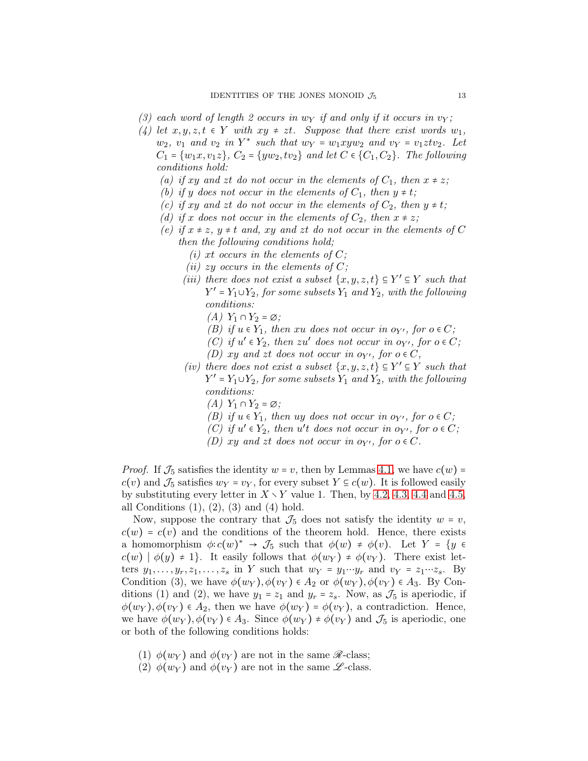- (3) each word of length 2 occurs in  $w_Y$  if and only if it occurs in  $v_Y$ ;
- *(4) let*  $x, y, z, t \in Y$  *with*  $xy \neq zt$ *. Suppose that there exist words*  $w_1$ *,*  $w_2$ ,  $v_1$  *and*  $v_2$  *in*  $Y^*$  *such that*  $w_Y = w_1xyw_2$  *and*  $v_Y = v_1ztv_2$ *. Let*  $C_1 = \{w_1x, v_1z\}, C_2 = \{yw_2, tv_2\}$  *and let*  $C \in \{C_1, C_2\}$ . The following *conditions hold:*
	- *(a)* if xy and zt do not occur in the elements of  $C_1$ , then  $x \neq z$ ;
	- *(b)* if y does not occur in the elements of  $C_1$ , then  $y \neq t$ ;
	- *(c)* if xy and zt do not occur in the elements of  $C_2$ , then  $y \neq t$ ;
	- *(d)* if x does not occur in the elements of  $C_2$ , then  $x \neq z$ ;
	- *(e)* if  $x \neq z$ ,  $y \neq t$  *and, xy and zt do not occur in the elements of* C *then the following conditions hold;*
		- *(i)* xt occurs in the elements of  $C$ ;
		- *(ii)* zy occurs in the elements of  $C$ ;
		- *(iii) there does not exist a subset*  $\{x, y, z, t\}$  ⊆  $Y'$  ⊆  $Y$  *such that*  $Y' = Y_1 \cup Y_2$ , for some subsets  $Y_1$  and  $Y_2$ , with the following *conditions:*
			- $(A)$  Y<sub>1</sub> ∩ Y<sub>2</sub> = ∅*;*
			- *(B)* if  $u \in Y_1$ *, then* xu *does not occur in*  $o_{Y'}$ *, for*  $o \in C$ *;*
			- *(C)* if  $u' \in Y_2$ , then  $zu'$  does not occur in  $o_{Y'}$ , for  $o \in C$ ;
			- *(D)* xy and zt does not occur in  $o_{Y'}$ , for  $o \in C$ ,
		- *(iv)* there does not exist a subset  $\{x, y, z, t\}$  ⊆ Y' ⊆ Y such that  $Y' = Y_1 \cup Y_2$ , for some subsets  $Y_1$  and  $Y_2$ , with the following *conditions:*
			- $(A)$  Y<sub>1</sub> ∩ Y<sub>2</sub> = ∅*;*
			- *(B)* if  $u \in Y_1$ *, then* uy *does not occur in oy', for*  $o \in C$ *;*
			- *(C)* if  $u' \in Y_2$ , then  $u't$  does not occur in  $o_{Y'}$ , for  $o \in C$ ;
			- *(D)* xy and zt does not occur in  $o_{Y'}$ , for  $o \in C$ .

*Proof.* If  $\mathcal{J}_5$  satisfies the identity  $w = v$ , then by Lemmas [4.1,](#page-7-0) we have  $c(w)$  =  $c(v)$  and  $\mathcal{J}_5$  satisfies  $w_Y = v_Y$ , for every subset  $Y \subseteq c(w)$ . It is followed easily by substituting every letter in  $X \setminus Y$  value 1. Then, by [4.2,](#page-7-2) [4.3,](#page-8-0) [4.4](#page-8-1) and [4.5,](#page-9-0) all Conditions  $(1), (2), (3)$  and  $(4)$  hold.

Now, suppose the contrary that  $\mathcal{J}_5$  does not satisfy the identity  $w = v$ ,  $c(w) = c(v)$  and the conditions of the theorem hold. Hence, there exists a homomorphism  $\phi: c(w)^* \to \mathcal{J}_5$  such that  $\phi(w) \neq \phi(v)$ . Let  $Y = \{y \in \mathcal{J}_5 \mid w \in \mathcal{J}_7\}$  $c(w) | \phi(y) \neq 1$ . It easily follows that  $\phi(w_Y) \neq \phi(v_Y)$ . There exist letters  $y_1, \ldots, y_r, z_1, \ldots, z_s$  in Y such that  $w_Y = y_1 \cdots y_r$  and  $v_Y = z_1 \cdots z_s$ . By Condition (3), we have  $\phi(w_Y), \phi(v_Y) \in A_2$  or  $\phi(w_Y), \phi(v_Y) \in A_3$ . By Conditions (1) and (2), we have  $y_1 = z_1$  and  $y_r = z_s$ . Now, as  $\mathcal{J}_5$  is aperiodic, if  $\phi(w_Y), \phi(v_Y) \in A_2$ , then we have  $\phi(w_Y) = \phi(v_Y)$ , a contradiction. Hence, we have  $\phi(w_Y), \phi(v_Y) \in A_3$ . Since  $\phi(w_Y) \neq \phi(v_Y)$  and  $\mathcal{J}_5$  is aperiodic, one or both of the following conditions holds:

- (1)  $\phi(w_Y)$  and  $\phi(v_Y)$  are not in the same  $\mathscr{R}\text{-class};$
- (2)  $\phi(w_Y)$  and  $\phi(v_Y)$  are not in the same  $\mathscr{L}$ -class.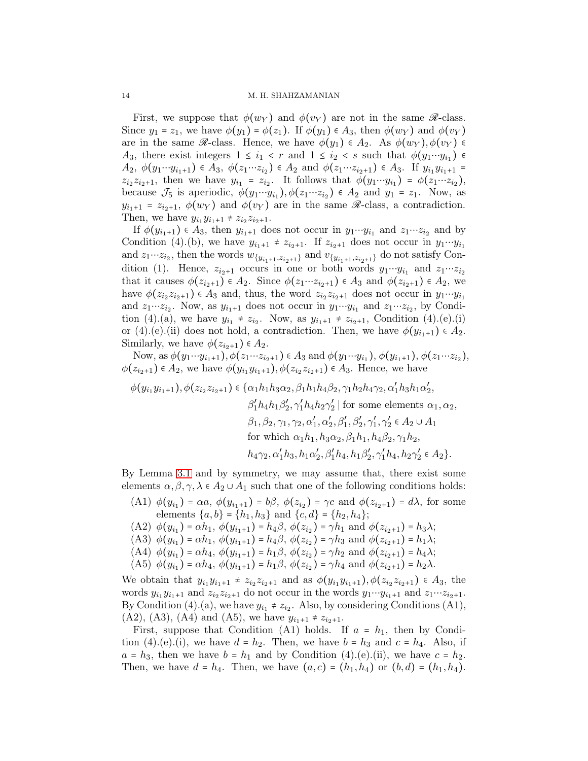14 M. H. SHAHZAMANIAN

First, we suppose that  $\phi(w_Y)$  and  $\phi(v_Y)$  are not in the same  $\mathscr{R}\text{-class.}$ Since  $y_1 = z_1$ , we have  $\phi(y_1) = \phi(z_1)$ . If  $\phi(y_1) \in A_3$ , then  $\phi(w_Y)$  and  $\phi(v_Y)$ are in the same  $\mathscr{R}$ -class. Hence, we have  $\phi(y_1) \in A_2$ . As  $\phi(w_Y), \phi(v_Y) \in$  $A_3$ , there exist integers  $1 \leq i_1 < r$  and  $1 \leq i_2 < s$  such that  $\phi(y_1 \cdots y_{i_1}) \in$  $A_2, \ \phi(y_1 \cdots y_{i_1+1}) \in A_3, \ \phi(z_1 \cdots z_{i_2}) \in A_2 \text{ and } \phi(z_1 \cdots z_{i_2+1}) \in A_3. \text{ If } y_{i_1}y_{i_1+1} =$  $z_{i_2}z_{i_2+1}$ , then we have  $y_{i_1} = z_{i_2}$ . It follows that  $\phi(y_1 \cdots y_{i_1}) = \phi(z_1 \cdots z_{i_2}),$ because  $\mathcal{J}_5$  is aperiodic,  $\phi(y_1 \cdots y_{i_1}), \phi(z_1 \cdots z_{i_2}) \in A_2$  and  $y_1 = z_1$ . Now, as  $y_{i_1+1} = z_{i_2+1}, \phi(w_Y)$  and  $\phi(v_Y)$  are in the same  $\mathscr R$ -class, a contradiction. Then, we have  $y_{i_1}y_{i_1+1} \neq z_{i_2}z_{i_2+1}$ .

If  $\phi(y_{i_1+1}) \in A_3$ , then  $y_{i_1+1}$  does not occur in  $y_1 \cdots y_{i_1}$  and  $z_1 \cdots z_{i_2}$  and by Condition (4).(b), we have  $y_{i_1+1} \neq z_{i_2+1}$ . If  $z_{i_2+1}$  does not occur in  $y_1 \cdots y_{i_1}$ and  $z_1 \cdots z_{i_2}$ , then the words  $w_{\{y_{i_1+1}, z_{i_2+1}\}}$  and  $v_{\{y_{i_1+1}, z_{i_2+1}\}}$  do not satisfy Condition (1). Hence,  $z_{i_2+1}$  occurs in one or both words  $y_1 \cdots y_{i_1}$  and  $z_1 \cdots z_{i_2}$ that it causes  $\phi(z_{i_2+1}) \in A_2$ . Since  $\phi(z_1 \cdots z_{i_2+1}) \in A_3$  and  $\phi(z_{i_2+1}) \in A_2$ , we have  $\phi(z_{i_2}z_{i_2+1}) \in A_3$  and, thus, the word  $z_{i_2}z_{i_2+1}$  does not occur in  $y_1 \cdots y_{i_1}$ and  $z_1 \cdots z_{i_2}$ . Now, as  $y_{i_1+1}$  does not occur in  $y_1 \cdots y_{i_1}$  and  $z_1 \cdots z_{i_2}$ , by Condition (4).(a), we have  $y_{i_1} \neq z_{i_2}$ . Now, as  $y_{i_1+1} \neq z_{i_2+1}$ , Condition (4).(e).(i) or (4).(e).(ii) does not hold, a contradiction. Then, we have  $\phi(y_{i_1+1}) \in A_2$ . Similarly, we have  $\phi(z_{i_2+1}) \in A_2$ .

Now, as  $\phi(y_1 \cdots y_{i_1+1}), \phi(z_1 \cdots z_{i_2+1}) \in A_3$  and  $\phi(y_1 \cdots y_{i_1}), \phi(y_{i_1+1}), \phi(z_1 \cdots z_{i_2}),$  $\phi(z_{i_2+1}) \in A_2$ , we have  $\phi(y_{i_1}y_{i_1+1}), \phi(z_{i_2}z_{i_2+1}) \in A_3$ . Hence, we have

$$
\phi(y_{i_1}y_{i_1+1}), \phi(z_{i_2}z_{i_2+1}) \in \{\alpha_1h_1h_3\alpha_2, \beta_1h_1h_4\beta_2, \gamma_1h_2h_4\gamma_2, \alpha'_1h_3h_1\alpha'_2, \beta'_1h_4h_1\beta'_2, \gamma'_1h_4h_2\gamma'_2 | \text{ for some elements } \alpha_1, \alpha_2, \beta_1, \beta_2, \gamma_1, \gamma_2, \alpha'_1, \alpha'_2, \beta'_1, \beta'_2, \gamma'_1, \gamma'_2 \in A_2 \cup A_1 \n\text{ for which } \alpha_1h_1, h_3\alpha_2, \beta_1h_1, h_4\beta_2, \gamma_1h_2, \nh_4\gamma_2, \alpha'_1h_3, h_1\alpha'_2, \beta'_1h_4, h_1\beta'_2, \gamma'_1h_4, h_2\gamma'_2 \in A_2 \}.
$$

By Lemma [3.1](#page-4-1) and by symmetry, we may assume that, there exist some elements  $\alpha, \beta, \gamma, \lambda \in A_2 \cup A_1$  such that one of the following conditions holds:

(A1)  $\phi(y_{i_1}) = \alpha a, \phi(y_{i_1+1}) = b\beta, \phi(z_{i_2}) = \gamma c$  and  $\phi(z_{i_2+1}) = d\lambda$ , for some elements  $\{a, b\} = \{h_1, h_3\}$  and  $\{c, d\} = \{h_2, h_4\};$ 

- (A2)  $\phi(y_{i_1}) = \alpha h_1$ ,  $\phi(y_{i_1+1}) = h_4\beta$ ,  $\phi(z_{i_2}) = \gamma h_1$  and  $\phi(z_{i_2+1}) = h_3\lambda$ ;
- (A3)  $\phi(y_{i_1}) = \alpha h_1$ ,  $\phi(y_{i_1+1}) = h_4\beta$ ,  $\phi(z_{i_2}) = \gamma h_3$  and  $\phi(z_{i_2+1}) = h_1\lambda$ ;
- (A4)  $\phi(y_{i_1}) = \alpha h_4$ ,  $\phi(y_{i_1+1}) = h_1\beta$ ,  $\phi(z_{i_2}) = \gamma h_2$  and  $\phi(z_{i_2+1}) = h_4\lambda$ ;
- (A5)  $\phi(y_{i_1}) = \alpha h_4$ ,  $\phi(y_{i_1+1}) = h_1 \beta$ ,  $\phi(z_{i_2}) = \gamma h_4$  and  $\phi(z_{i_2+1}) = h_2 \lambda$ .

We obtain that  $y_{i_1}y_{i_1+1} \neq z_{i_2}z_{i_2+1}$  and as  $\phi(y_{i_1}y_{i_1+1}), \phi(z_{i_2}z_{i_2+1}) \in A_3$ , the words  $y_{i_1}y_{i_1+1}$  and  $z_{i_2}z_{i_2+1}$  do not occur in the words  $y_1 \cdots y_{i_1+1}$  and  $z_1 \cdots z_{i_2+1}$ . By Condition (4).(a), we have  $y_{i_1} \neq z_{i_2}$ . Also, by considering Conditions (A1), (A2), (A3), (A4) and (A5), we have  $y_{i_1+1} \neq z_{i_2+1}$ .

First, suppose that Condition (A1) holds. If  $a = h_1$ , then by Condition (4).(e).(i), we have  $d = h_2$ . Then, we have  $b = h_3$  and  $c = h_4$ . Also, if  $a = h_3$ , then we have  $b = h_1$  and by Condition (4).(e).(ii), we have  $c = h_2$ . Then, we have  $d = h_4$ . Then, we have  $(a, c) = (h_1, h_4)$  or  $(b, d) = (h_1, h_4)$ .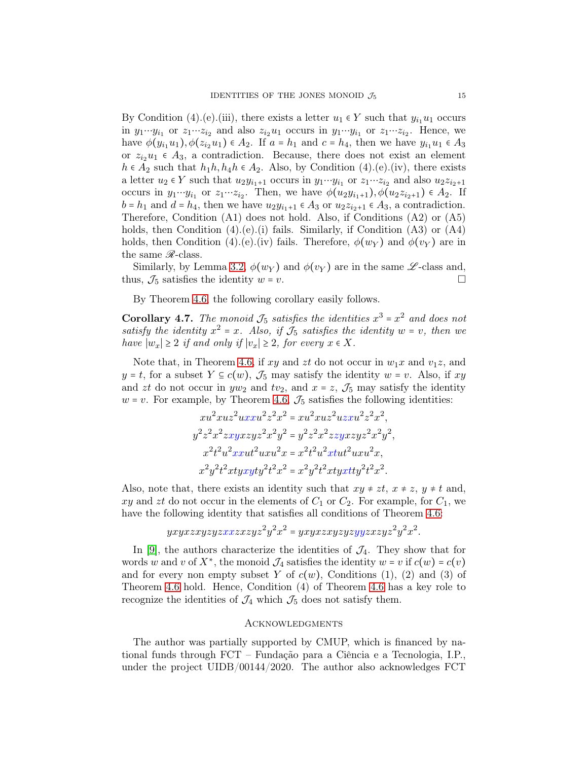By Condition (4).(e).(iii), there exists a letter  $u_1 \in Y$  such that  $y_{i_1}u_1$  occurs in  $y_1 \cdots y_{i_1}$  or  $z_1 \cdots z_{i_2}$  and also  $z_{i_2}u_1$  occurs in  $y_1 \cdots y_{i_1}$  or  $z_1 \cdots z_{i_2}$ . Hence, we have  $\phi(y_{i_1}u_1), \phi(z_{i_2}u_1) \in A_2$ . If  $a = h_1$  and  $c = h_4$ , then we have  $y_{i_1}u_1 \in A_3$ or  $z_{i_2}u_1 \in A_3$ , a contradiction. Because, there does not exist an element  $h \in A_2$  such that  $h_1h, h_4h \in A_2$ . Also, by Condition (4).(e).(iv), there exists a letter  $u_2 \in Y$  such that  $u_2y_{i_1+1}$  occurs in  $y_1 \cdots y_{i_1}$  or  $z_1 \cdots z_{i_2}$  and also  $u_2z_{i_2+1}$ occurs in  $y_1 \cdots y_{i_1}$  or  $z_1 \cdots z_{i_2}$ . Then, we have  $\phi(u_2y_{i_1+1}), \phi(u_2z_{i_2+1}) \in A_2$ . If  $b = h_1$  and  $d = h_4$ , then we have  $u_2 y_{i_1+1} \in A_3$  or  $u_2 z_{i_2+1} \in A_3$ , a contradiction. Therefore, Condition (A1) does not hold. Also, if Conditions (A2) or (A5) holds, then Condition  $(4)(e)(i)$  fails. Similarly, if Condition  $(A3)$  or  $(A4)$ holds, then Condition (4).(e).(iv) fails. Therefore,  $\phi(w_Y)$  and  $\phi(v_Y)$  are in the same  $\mathcal{R}$ -class.

Similarly, by Lemma [3.2,](#page-7-1)  $\phi(w_Y)$  and  $\phi(v_Y)$  are in the same  $\mathscr{L}$ -class and, thus,  $\mathcal{J}_5$  satisfies the identity  $w = v$ .

By Theorem [4.6,](#page-11-0) the following corollary easily follows.

**Corollary 4.7.** The monoid  $\mathcal{J}_5$  satisfies the identities  $x^3 = x^2$  and does not satisfy the identity  $x^2 = x$ . Also, if  $\tilde{J}_5$  satisfies the identity  $w = v$ , then we *have*  $|w_x| \geq 2$  *if and only if*  $|v_x| \geq 2$ *, for every*  $x \in X$ *.* 

Note that, in Theorem [4.6,](#page-11-0) if xy and zt do not occur in  $w_1x$  and  $v_1z$ , and  $y = t$ , for a subset  $Y \subseteq c(w)$ ,  $\mathcal{J}_5$  may satisfy the identity  $w = v$ . Also, if  $xy$ and zt do not occur in  $yw_2$  and  $tv_2$ , and  $x = z$ ,  $\mathcal{J}_5$  may satisfy the identity  $w = v$ . For example, by Theorem [4.6,](#page-11-0)  $\mathcal{J}_5$  satisfies the following identities:

$$
xu^2xuz^2uxxu^2z^2x^2 = xu^2xuz^2uzxu^2z^2x^2,
$$
  
\n
$$
y^2z^2x^2zxyxzyz^2x^2y^2 = y^2z^2x^2zzyxzyz^2x^2y^2,
$$
  
\n
$$
x^2t^2u^2xxut^2uxu^2x = x^2t^2u^2xtut^2uxu^2x,
$$
  
\n
$$
x^2y^2t^2xtyxyty^2t^2x^2 = x^2y^2t^2xyxty^2t^2x^2.
$$

Also, note that, there exists an identity such that  $xy \neq zt$ ,  $x \neq z$ ,  $y \neq t$  and, xy and zt do not occur in the elements of  $C_1$  or  $C_2$ . For example, for  $C_1$ , we have the following identity that satisfies all conditions of Theorem [4.6:](#page-11-0)

$$
yxyzxyzyzyzxzxyzyz^2y^2x^2 = yxyzxyzyzyzyzyzyzzz^2y^2x^2.
$$

In [\[9\]](#page-15-4), the authors characterize the identities of  $\mathcal{J}_4$ . They show that for words w and v of  $X^*$ , the monoid  $\mathcal{J}_4$  satisfies the identity  $w = v$  if  $c(w) = c(v)$ and for every non empty subset Y of  $c(w)$ , Conditions (1), (2) and (3) of Theorem [4.6](#page-11-0) hold. Hence, Condition (4) of Theorem [4.6](#page-11-0) has a key role to recognize the identities of  $\mathcal{J}_4$  which  $\mathcal{J}_5$  does not satisfy them.

### **ACKNOWLEDGMENTS**

The author was partially supported by CMUP, which is financed by national funds through FCT – Fundação para a Ciência e a Tecnologia, I.P., under the project UIDB/00144/2020. The author also acknowledges FCT